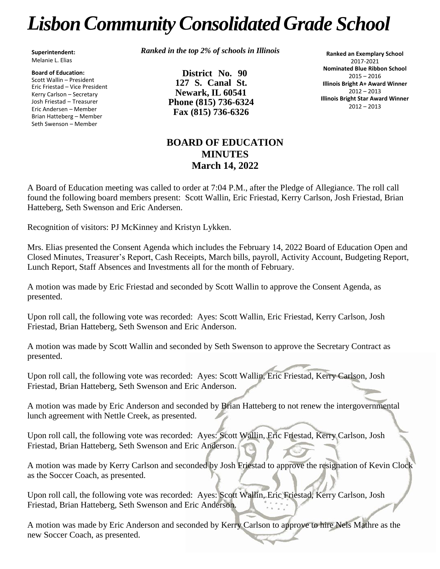# *LisbonCommunityConsolidated Grade School*

**Superintendent:** Melanie L. Elias

**Board of Education:** Scott Wallin – President Eric Friestad – Vice President Kerry Carlson – Secretary Josh Friestad – Treasurer Eric Andersen – Member Brian Hatteberg – Member Seth Swenson – Member

*Ranked in the top 2% of schools in Illinois*

**District No. 90 127 S. Canal St. Newark, IL 60541 Phone (815) 736-6324 Fax (815) 736-6326**

**Ranked an Exemplary School** 2017-2021 **Nominated Blue Ribbon School** 2015 – 2016 **Illinois Bright A+ Award Winner** 2012 – 2013 **Illinois Bright Star Award Winner** 2012 – 2013

# **BOARD OF EDUCATION MINUTES March 14, 2022**

A Board of Education meeting was called to order at 7:04 P.M., after the Pledge of Allegiance. The roll call found the following board members present: Scott Wallin, Eric Friestad, Kerry Carlson, Josh Friestad, Brian Hatteberg, Seth Swenson and Eric Andersen.

Recognition of visitors: PJ McKinney and Kristyn Lykken.

Mrs. Elias presented the Consent Agenda which includes the February 14, 2022 Board of Education Open and Closed Minutes, Treasurer's Report, Cash Receipts, March bills, payroll, Activity Account, Budgeting Report, Lunch Report, Staff Absences and Investments all for the month of February.

A motion was made by Eric Friestad and seconded by Scott Wallin to approve the Consent Agenda, as presented.

Upon roll call, the following vote was recorded: Ayes: Scott Wallin, Eric Friestad, Kerry Carlson, Josh Friestad, Brian Hatteberg, Seth Swenson and Eric Anderson.

A motion was made by Scott Wallin and seconded by Seth Swenson to approve the Secretary Contract as presented.

Upon roll call, the following vote was recorded: Ayes: Scott Wallin, Eric Friestad, Kerry Carlson, Josh Friestad, Brian Hatteberg, Seth Swenson and Eric Anderson.

A motion was made by Eric Anderson and seconded by Brian Hatteberg to not renew the intergovernmental lunch agreement with Nettle Creek, as presented.

Upon roll call, the following vote was recorded: Ayes: Scott Wallin, Eric Friestad, Kerry Carlson, Josh Friestad, Brian Hatteberg, Seth Swenson and Eric Anderson.

A motion was made by Kerry Carlson and seconded by Josh Friestad to approve the resignation of Kevin Clock as the Soccer Coach, as presented.

Upon roll call, the following vote was recorded: Ayes: Scott Wallin, Eric Friestad, Kerry Carlson, Josh Friestad, Brian Hatteberg, Seth Swenson and Eric Anderson.

A motion was made by Eric Anderson and seconded by Kerry Carlson to approve to hire Nels Mathre as the new Soccer Coach, as presented.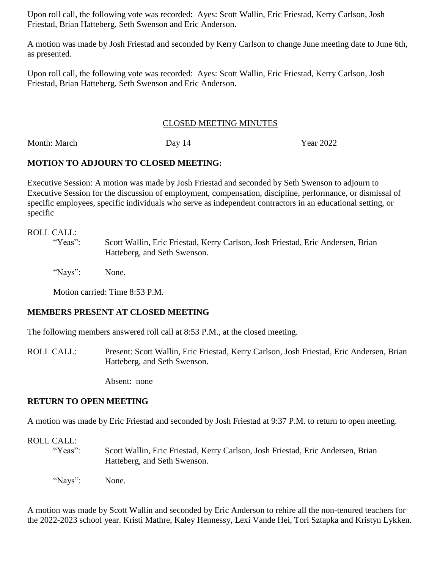Upon roll call, the following vote was recorded: Ayes: Scott Wallin, Eric Friestad, Kerry Carlson, Josh Friestad, Brian Hatteberg, Seth Swenson and Eric Anderson.

A motion was made by Josh Friestad and seconded by Kerry Carlson to change June meeting date to June 6th, as presented.

Upon roll call, the following vote was recorded: Ayes: Scott Wallin, Eric Friestad, Kerry Carlson, Josh Friestad, Brian Hatteberg, Seth Swenson and Eric Anderson.

#### CLOSED MEETING MINUTES

Month: March Day 14 Year 2022

# **MOTION TO ADJOURN TO CLOSED MEETING:**

Executive Session: A motion was made by Josh Friestad and seconded by Seth Swenson to adjourn to Executive Session for the discussion of employment, compensation, discipline, performance, or dismissal of specific employees, specific individuals who serve as independent contractors in an educational setting, or specific

#### ROLL CALL:

"Yeas": Scott Wallin, Eric Friestad, Kerry Carlson, Josh Friestad, Eric Andersen, Brian Hatteberg, and Seth Swenson.

"Nays": None.

Motion carried: Time 8:53 P.M.

# **MEMBERS PRESENT AT CLOSED MEETING**

The following members answered roll call at 8:53 P.M., at the closed meeting.

ROLL CALL: Present: Scott Wallin, Eric Friestad, Kerry Carlson, Josh Friestad, Eric Andersen, Brian Hatteberg, and Seth Swenson.

Absent: none

# **RETURN TO OPEN MEETING**

A motion was made by Eric Friestad and seconded by Josh Friestad at 9:37 P.M. to return to open meeting.

# ROLL CALL:

- "Yeas": Scott Wallin, Eric Friestad, Kerry Carlson, Josh Friestad, Eric Andersen, Brian Hatteberg, and Seth Swenson.
- "Nays": None.

A motion was made by Scott Wallin and seconded by Eric Anderson to rehire all the non-tenured teachers for the 2022-2023 school year. Kristi Mathre, Kaley Hennessy, Lexi Vande Hei, Tori Sztapka and Kristyn Lykken.